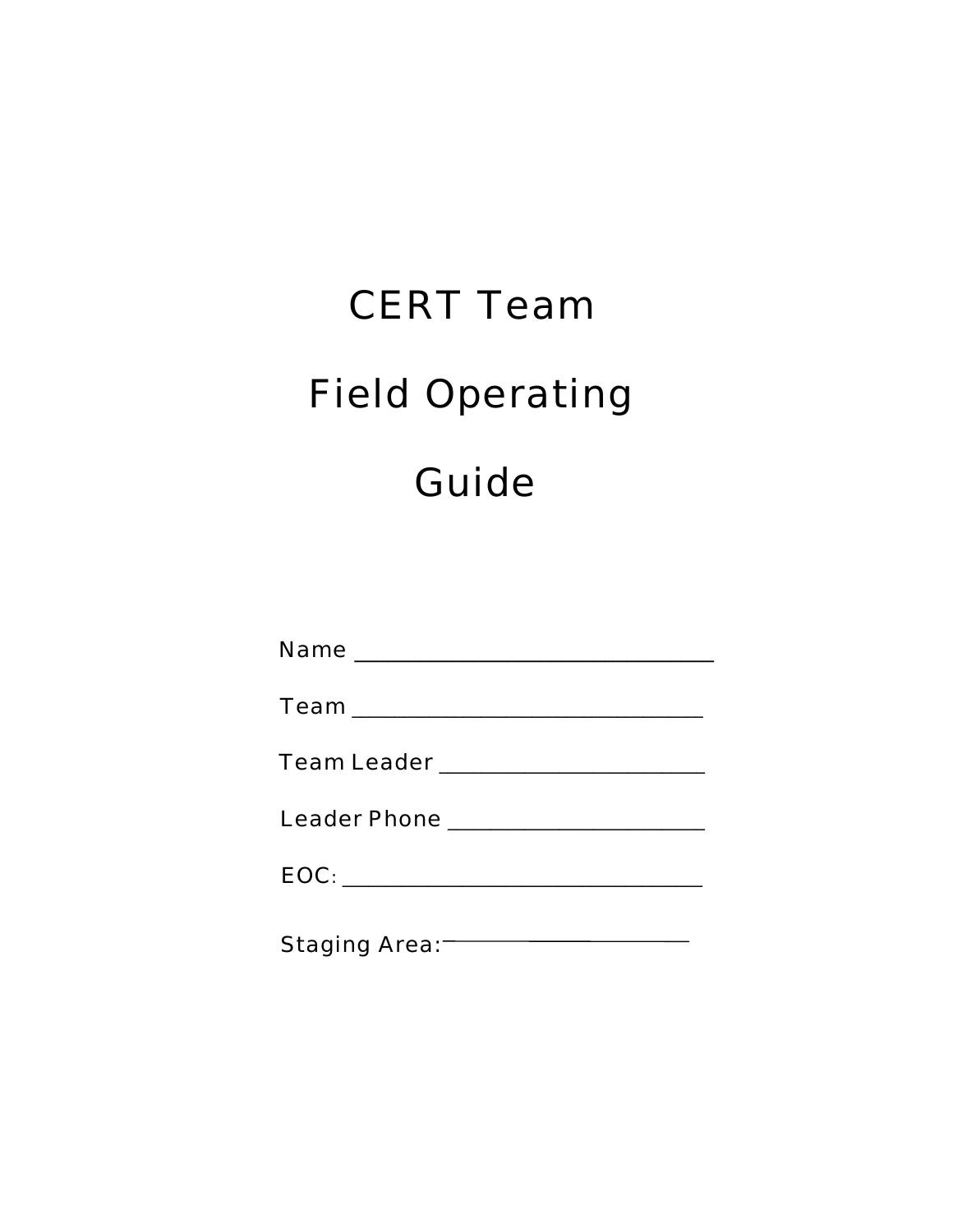# **CERT Team Field Operating** Guide

| Team Leader _______________________ |
|-------------------------------------|
| Leader Phone _____________________  |
|                                     |
| Staging Area:                       |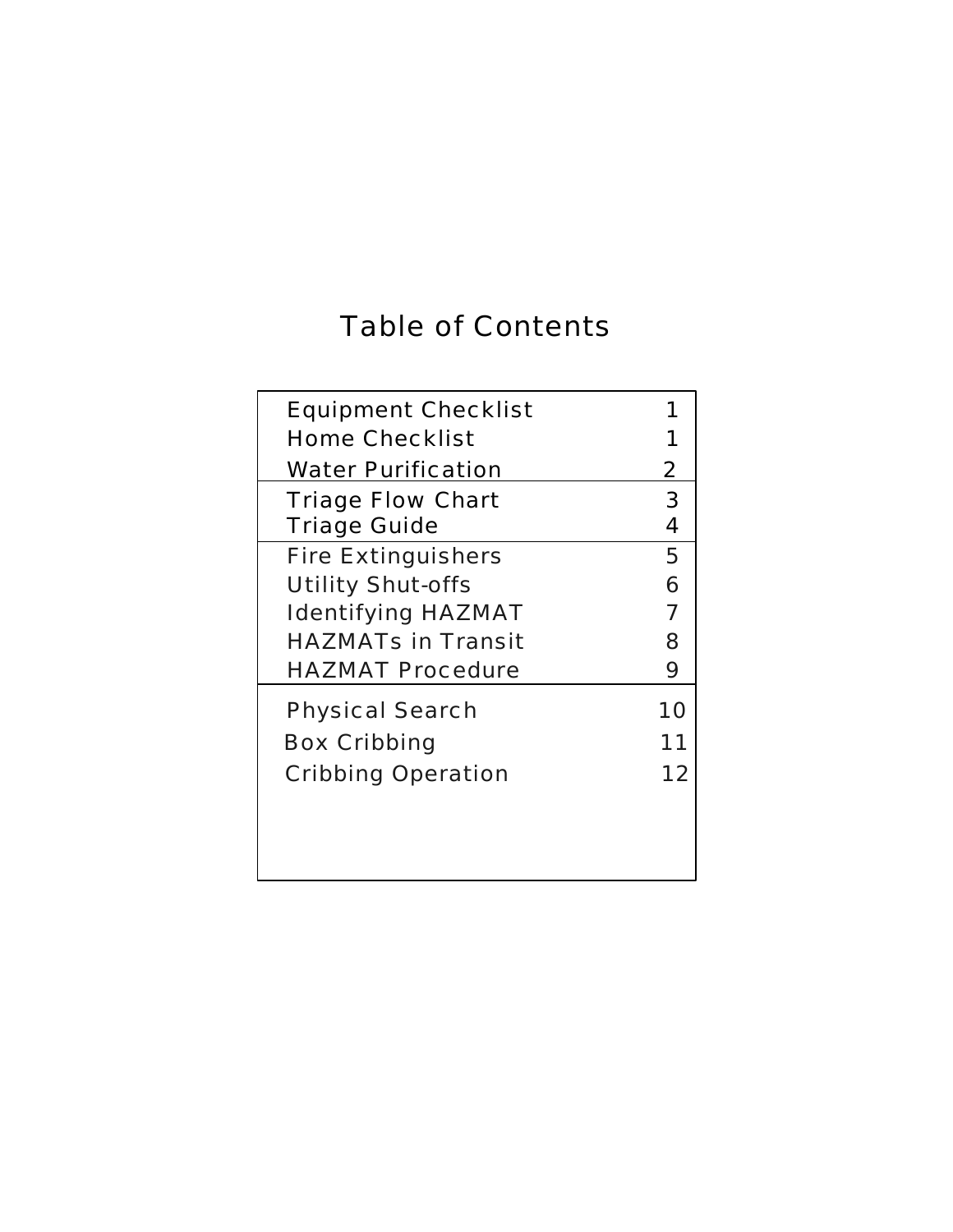# Table of Contents

| <b>Equipment Checklist</b> |    |
|----------------------------|----|
| <b>Home Checklist</b>      |    |
| <b>Water Purification</b>  | 2  |
| <b>Triage Flow Chart</b>   | 3  |
| <b>Triage Guide</b>        | 4  |
| <b>Fire Extinguishers</b>  | 5  |
| <b>Utility Shut-offs</b>   | 6  |
| <b>Identifying HAZMAT</b>  | 7  |
| <b>HAZMATs in Transit</b>  | 8  |
| <b>HAZMAT Procedure</b>    | 9  |
| <b>Physical Search</b>     | 10 |
| <b>Box Cribbing</b>        | 11 |
| <b>Cribbing Operation</b>  | 12 |
|                            |    |
|                            |    |
|                            |    |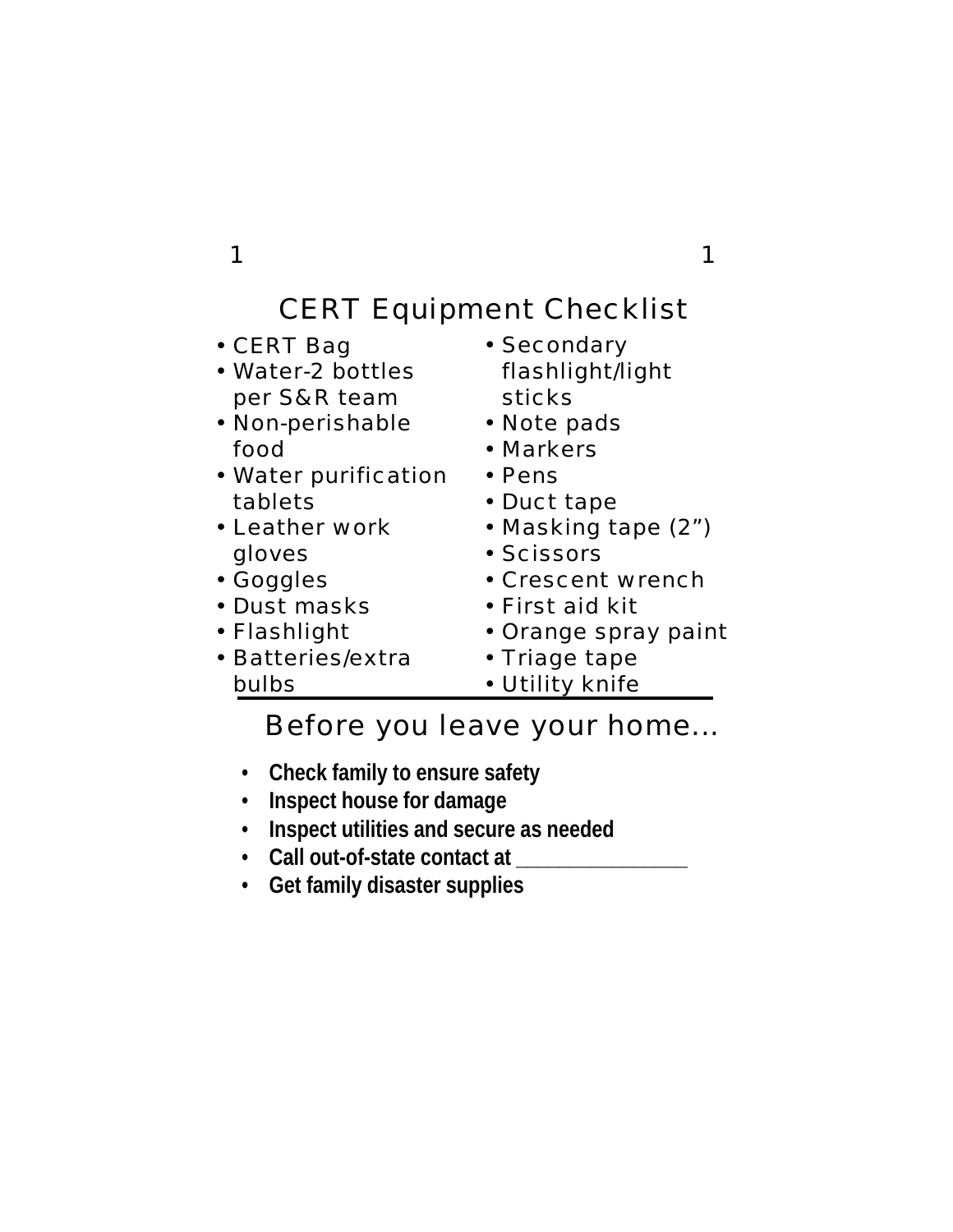# CERT Equipment Checklist

| • CERT Bag<br>• Water-2 bottles<br>per S&R team<br>• Non-perishable | • Secondary<br>flashlight/light<br>sticks<br>• Note pads |
|---------------------------------------------------------------------|----------------------------------------------------------|
| food                                                                | • Markers                                                |
| • Water purification                                                | $\cdot$ Pens                                             |
| tablets                                                             | • Duct tape                                              |
| • Leather work                                                      | • Masking tape (2")                                      |
| gloves                                                              | • Scissors                                               |
| • Goggles                                                           | • Crescent wrench                                        |
| • Dust masks                                                        | • First aid kit                                          |
| • Flashlight                                                        | • Orange spray paint                                     |
| • Batteries/extra                                                   | • Triage tape                                            |
| bulbs                                                               | • Utility knife                                          |

Before you leave your home...

- **Check family to ensure safety**
- **Inspect house for damage**
- **Inspect utilities and secure as needed**
- **Call out-of-state contact at \_\_\_\_\_\_\_\_\_\_\_\_\_\_\_\_**
- **Get family disaster supplies**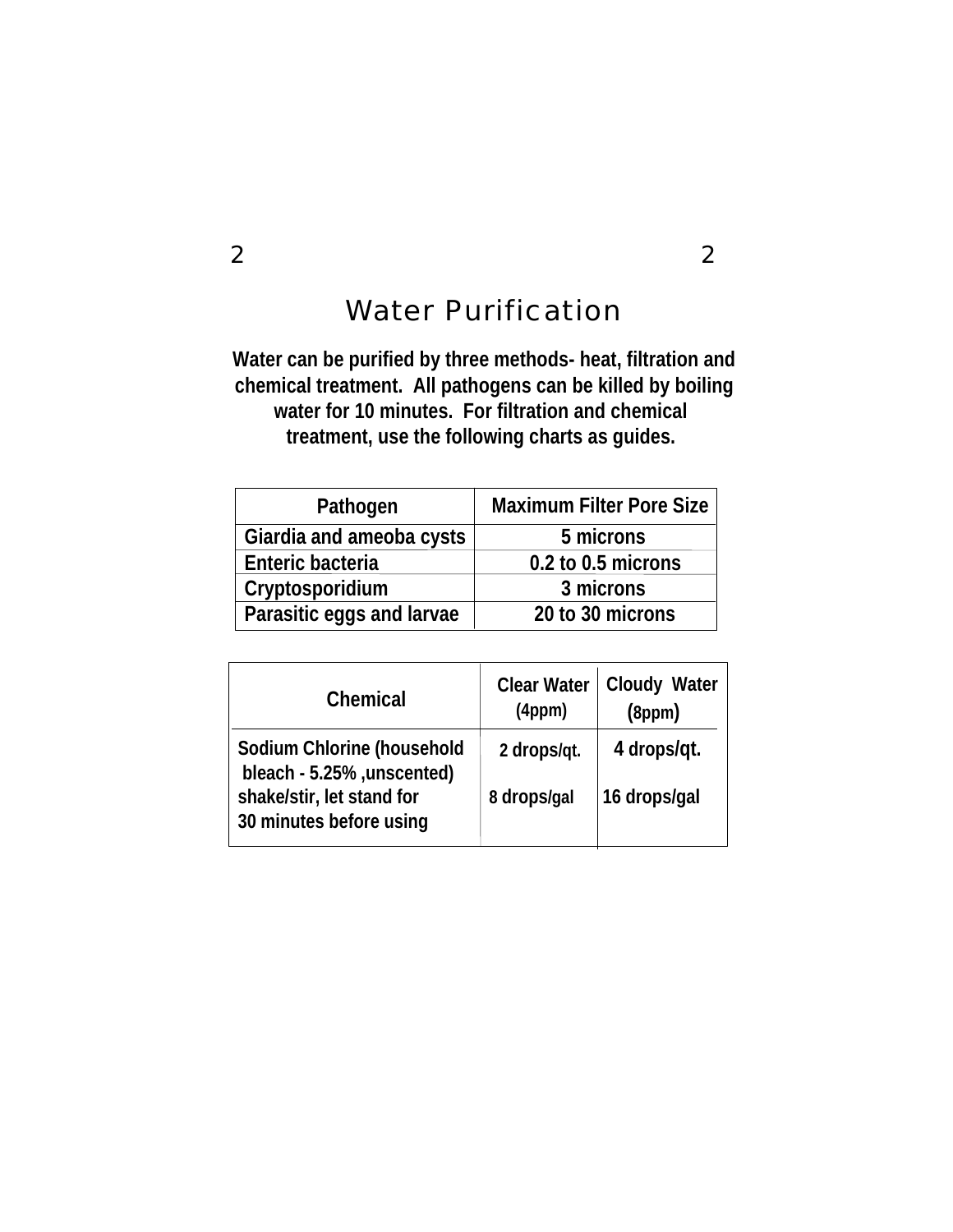## Water Purification

### **Water can be purified by three methods- heat, filtration and chemical treatment. All pathogens can be killed by boiling water for 10 minutes. For filtration and chemical treatment, use the following charts as guides.**

| Pathogen                  | <b>Maximum Filter Pore Size</b> |  |
|---------------------------|---------------------------------|--|
| Giardia and ameoba cysts  | 5 microns                       |  |
| Enteric bacteria          | 0.2 to 0.5 microns              |  |
| Cryptosporidium           | 3 microns                       |  |
| Parasitic eggs and larvae | 20 to 30 microns                |  |

| Chemical                                                  | <b>Clear Water</b><br>(4ppm) | <b>Cloudy Water</b><br>(8ppm) |
|-----------------------------------------------------------|------------------------------|-------------------------------|
| Sodium Chlorine (household<br>bleach - 5.25% , unscented) | 2 drops/qt.                  | 4 drops/qt.                   |
| shake/stir, let stand for<br>30 minutes before using      | 8 drops/gal                  | 16 drops/gal                  |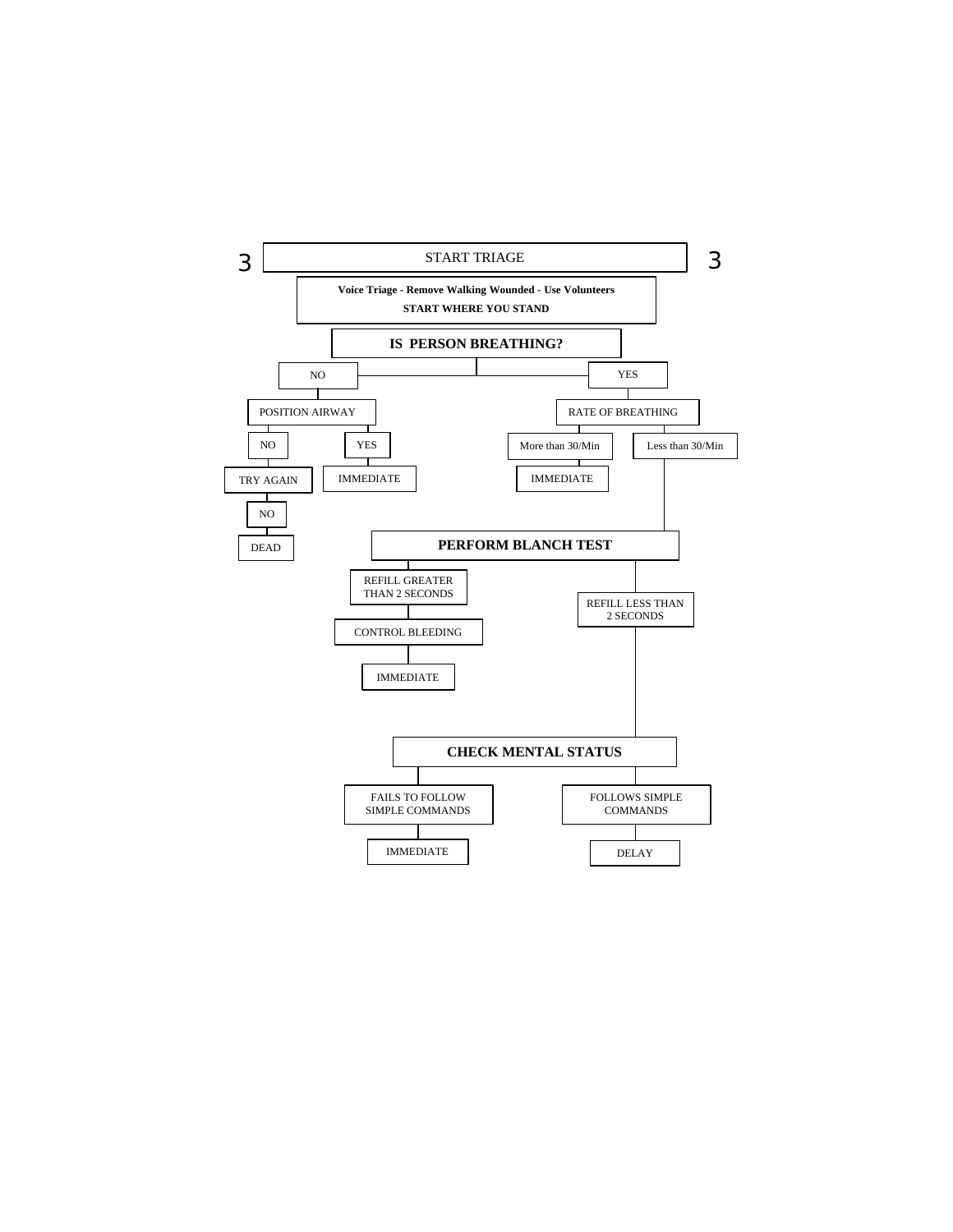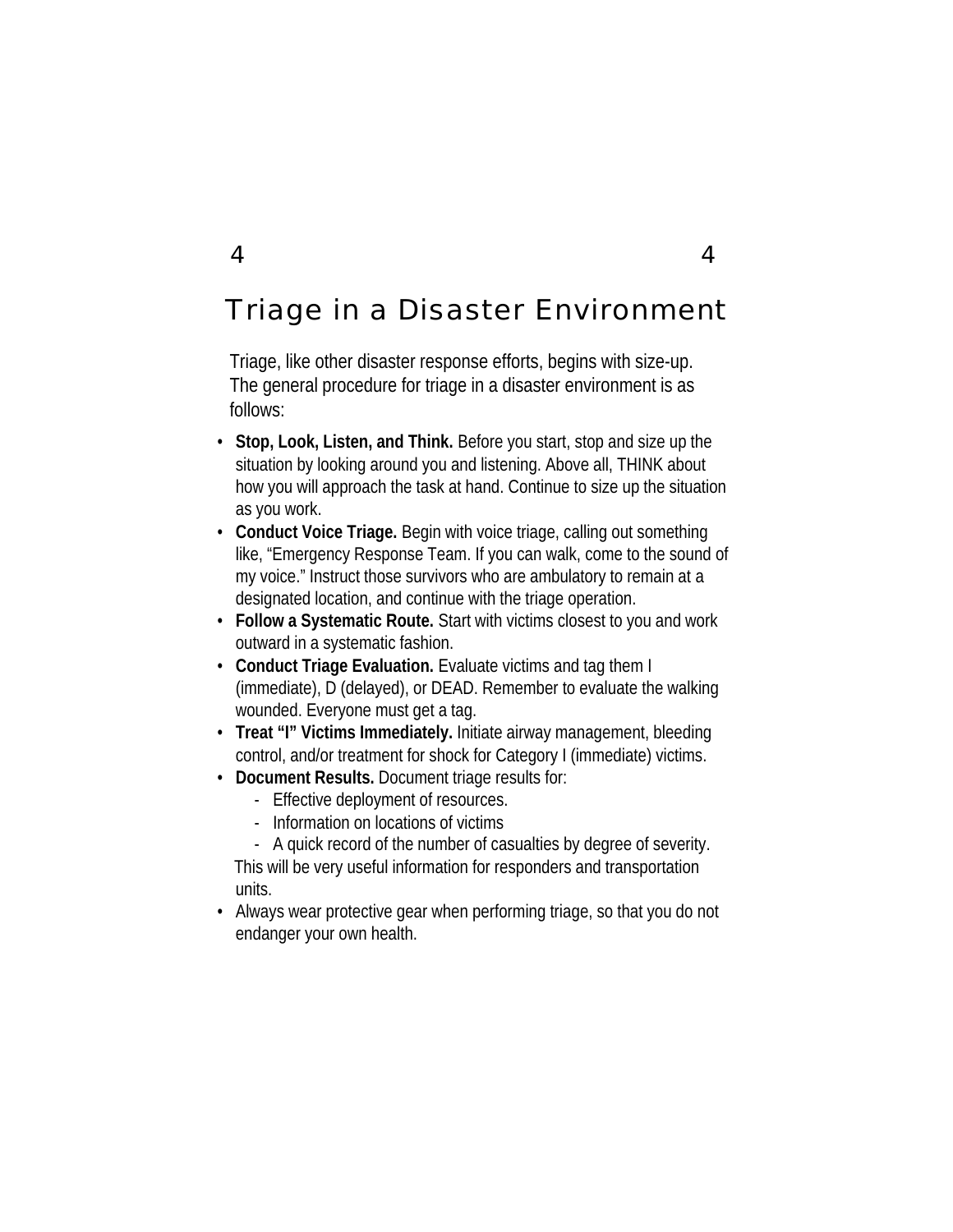# Triage in a Disaster Environment

Triage, like other disaster response efforts, begins with size-up. The general procedure for triage in a disaster environment is as follows:

- **Stop, Look, Listen, and Think.** Before you start, stop and size up the situation by looking around you and listening. Above all, THINK about how you will approach the task at hand. Continue to size up the situation as you work.
- **Conduct Voice Triage.** Begin with voice triage, calling out something like, "Emergency Response Team. If you can walk, come to the sound of my voice." Instruct those survivors who are ambulatory to remain at a designated location, and continue with the triage operation.
- **Follow a Systematic Route.** Start with victims closest to you and work outward in a systematic fashion.
- **Conduct Triage Evaluation.** Evaluate victims and tag them I (immediate), D (delayed), or DEAD. Remember to evaluate the walking wounded. Everyone must get a tag.
- **Treat "I" Victims Immediately.** Initiate airway management, bleeding control, and/or treatment for shock for Category I (immediate) victims.
- **Document Results.** Document triage results for:
	- Effective deployment of resources.
	- Information on locations of victims
	- A quick record of the number of casualties by degree of severity. This will be very useful information for responders and transportation units.
- Always wear protective gear when performing triage, so that you do not endanger your own health.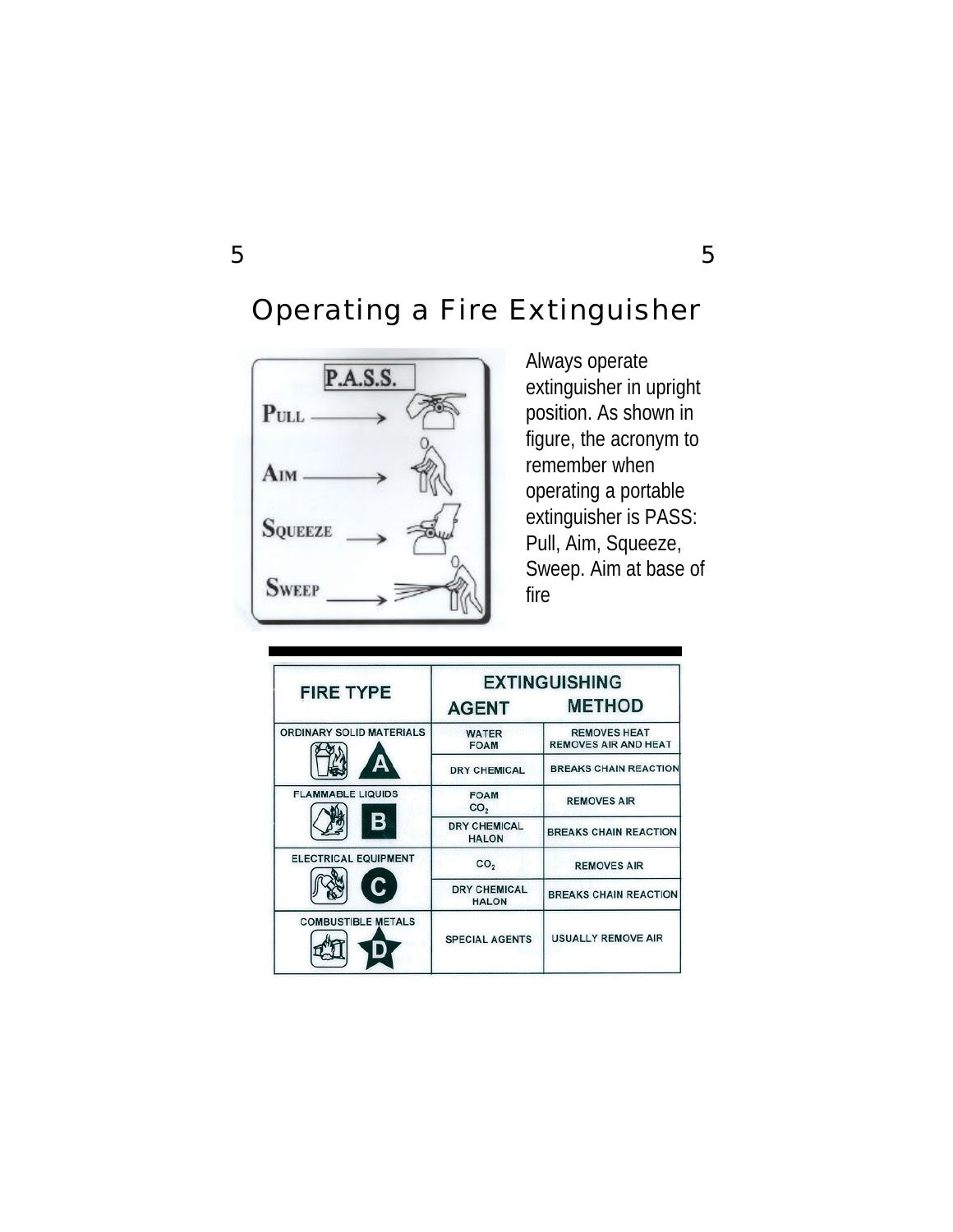# Operating a Fire Extinguisher



Always operate extinguisher in upright position. As shown in figure, the acronym to remember when operating a portable extinguisher is PASS: Pull, Aim, Squeeze, Sweep. Aim at base of fire

| <b>FIRE TYPE</b>                |                                     | <b>EXTINGUISHING</b>                               |  |
|---------------------------------|-------------------------------------|----------------------------------------------------|--|
|                                 | <b>AGENT</b>                        | <b>METHOD</b>                                      |  |
| <b>ORDINARY SOLID MATERIALS</b> | <b>WATER</b><br><b>FOAM</b>         | <b>REMOVES HEAT</b><br><b>REMOVES AIR AND HEAT</b> |  |
|                                 | <b>DRY CHEMICAL</b>                 | <b>BREAKS CHAIN REACTION</b>                       |  |
| <b>FLAMMABLE LIQUIDS</b>        | <b>FOAM</b><br>CO <sub>2</sub>      | <b>REMOVES AIR</b>                                 |  |
| в                               | <b>DRY CHEMICAL</b><br><b>HALON</b> | <b>BREAKS CHAIN REACTION</b>                       |  |
| <b>ELECTRICAL EQUIPMENT</b>     | CO <sub>2</sub>                     | <b>REMOVES AIR</b>                                 |  |
|                                 | <b>DRY CHEMICAL</b><br><b>HALON</b> | <b>BREAKS CHAIN REACTION</b>                       |  |
| <b>COMBUSTIBLE METALS</b>       | <b>SPECIAL AGENTS</b>               | <b>USUALLY REMOVE AIR</b>                          |  |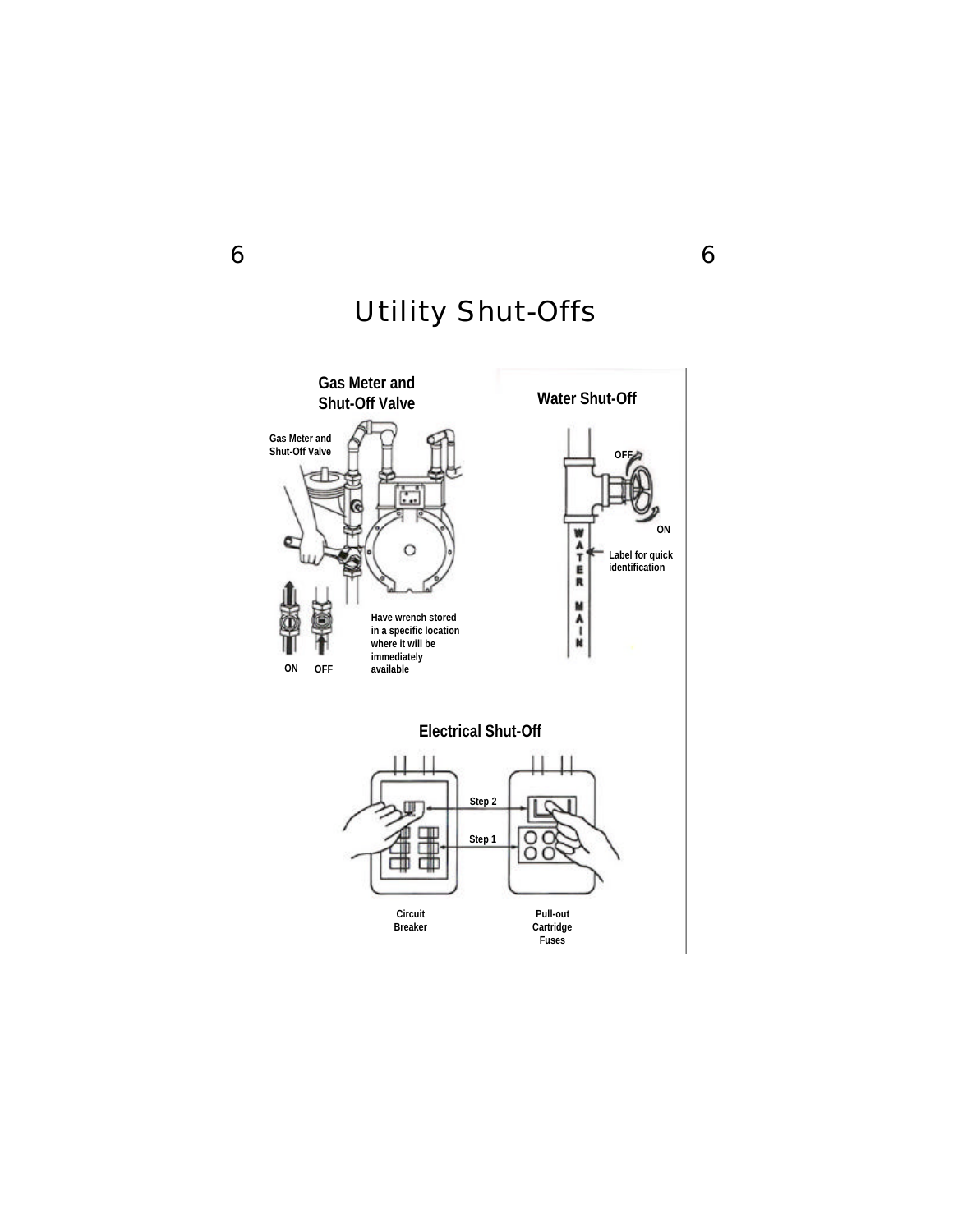

# Utility Shut-Offs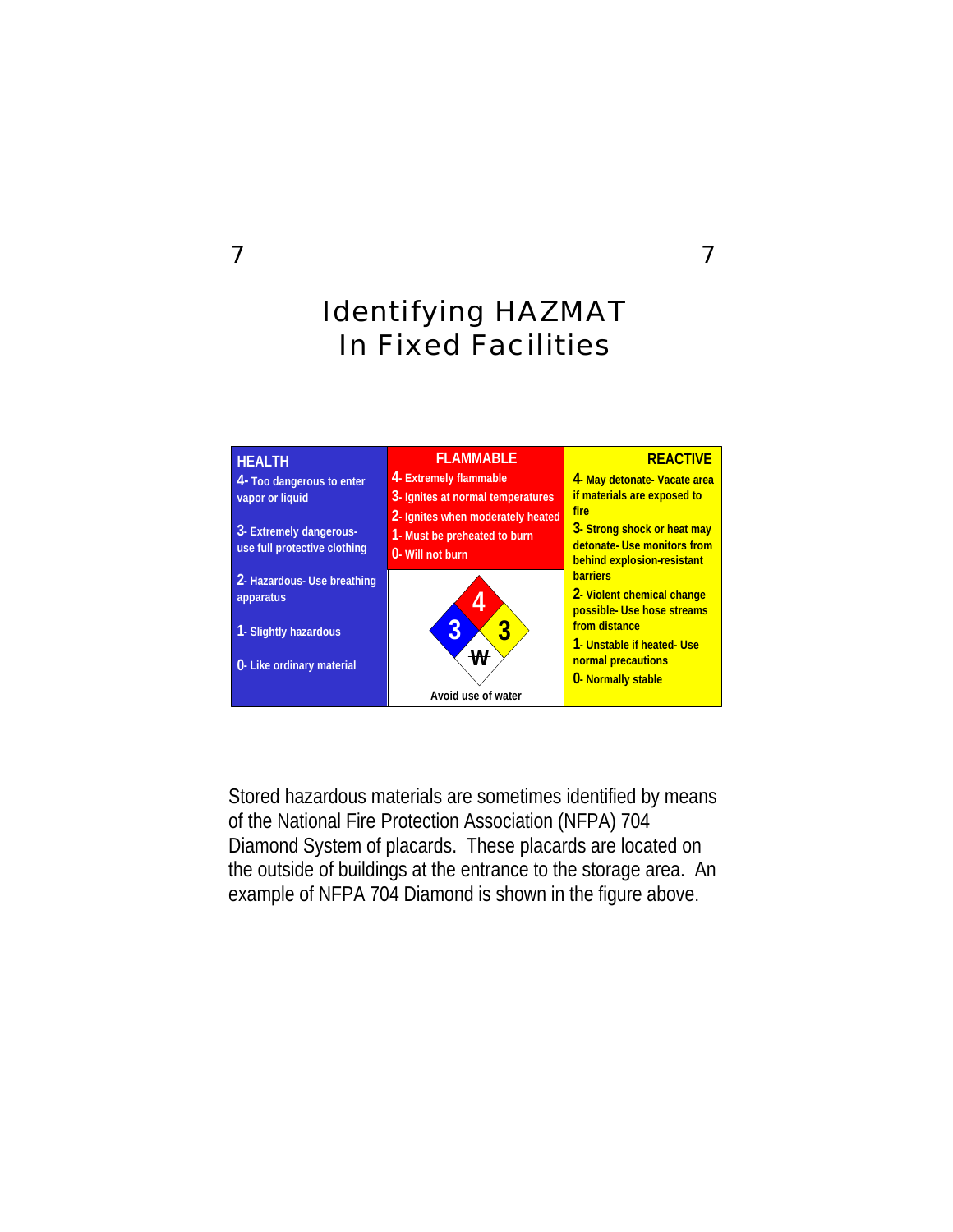# Identifying HAZMAT In Fixed Facilities



Stored hazardous materials are sometimes identified by means of the National Fire Protection Association (NFPA) 704 Diamond System of placards. These placards are located on the outside of buildings at the entrance to the storage area. An example of NFPA 704 Diamond is shown in the figure above.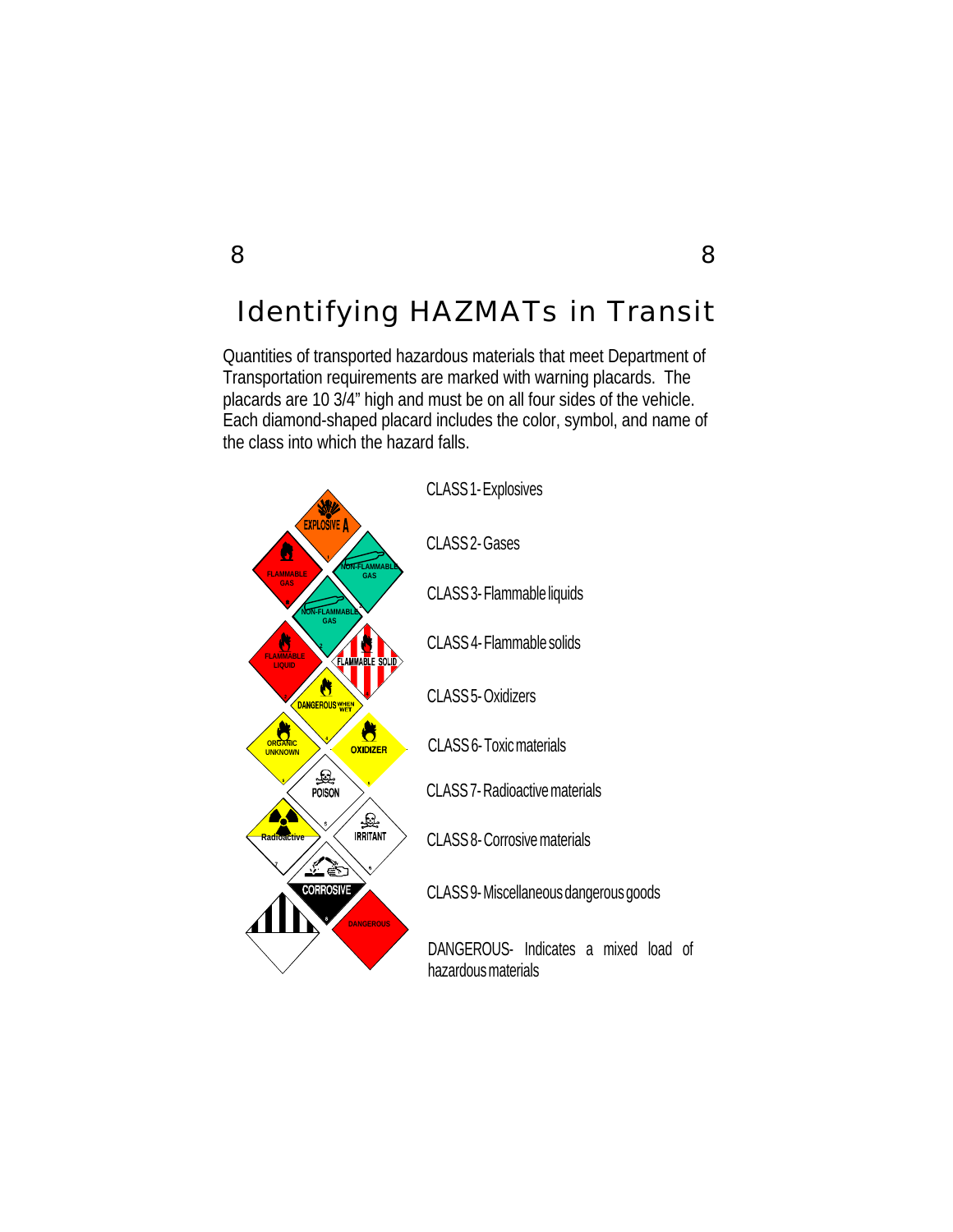# Identifying HAZMATs in Transit

Quantities of transported hazardous materials that meet Department of Transportation requirements are marked with warning placards. The placards are 10 3/4" high and must be on all four sides of the vehicle. Each diamond-shaped placard includes the color, symbol, and name of the class into which the hazard falls.

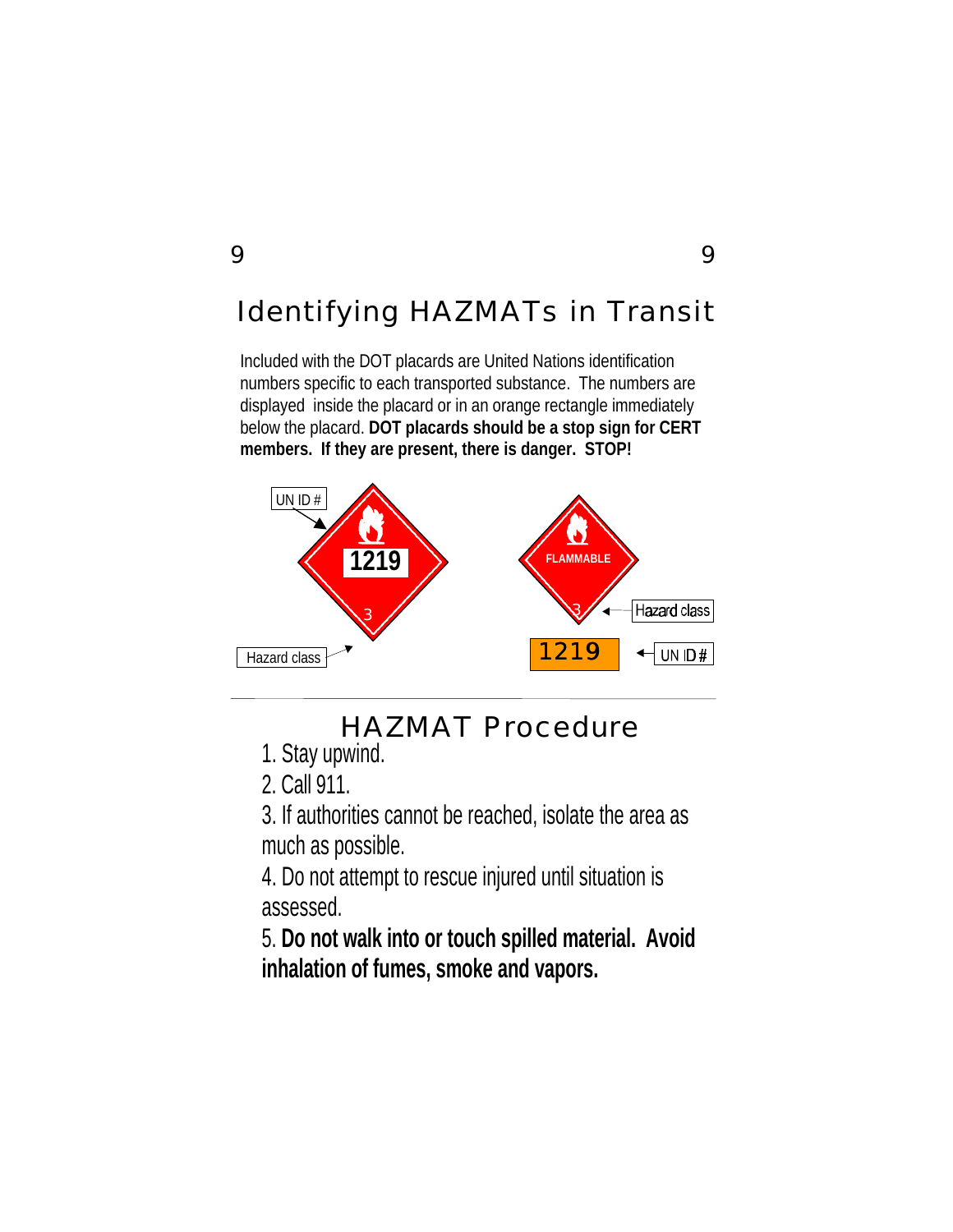# Identifying HAZMATs in Transit

Included with the DOT placards are United Nations identification numbers specific to each transported substance. The numbers are displayed inside the placard or in an orange rectangle immediately below the placard. **DOT placards should be a stop sign for CERT members. If they are present, there is danger. STOP!**



# HAZMAT Procedure

- 1. Stay upwind.
- 2. Call 911.

3. If authorities cannot be reached, isolate the area as much as possible.

4. Do not attempt to rescue injured until situation is assessed.

5. **Do not walk into or touch spilled material. Avoid inhalation of fumes, smoke and vapors.**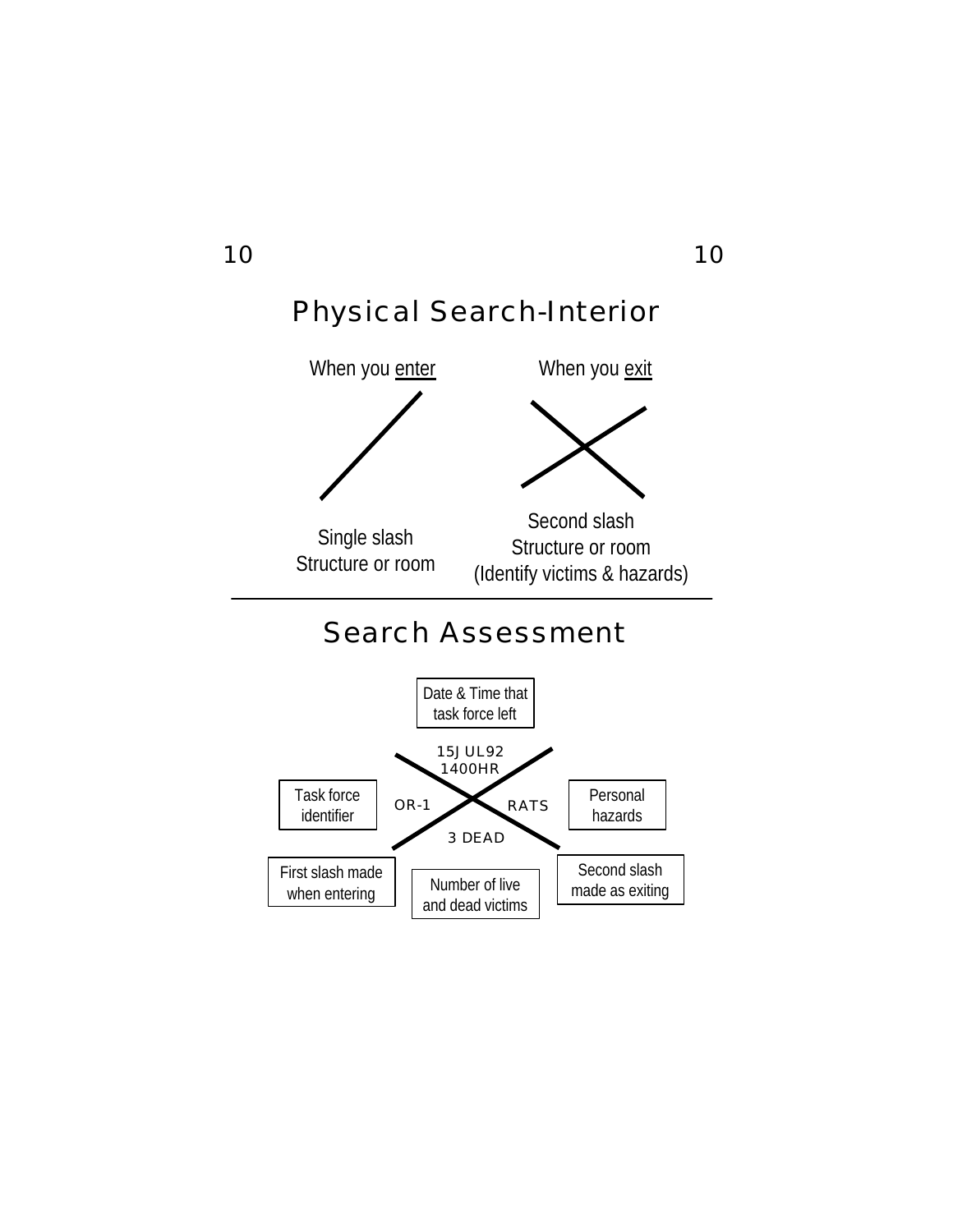

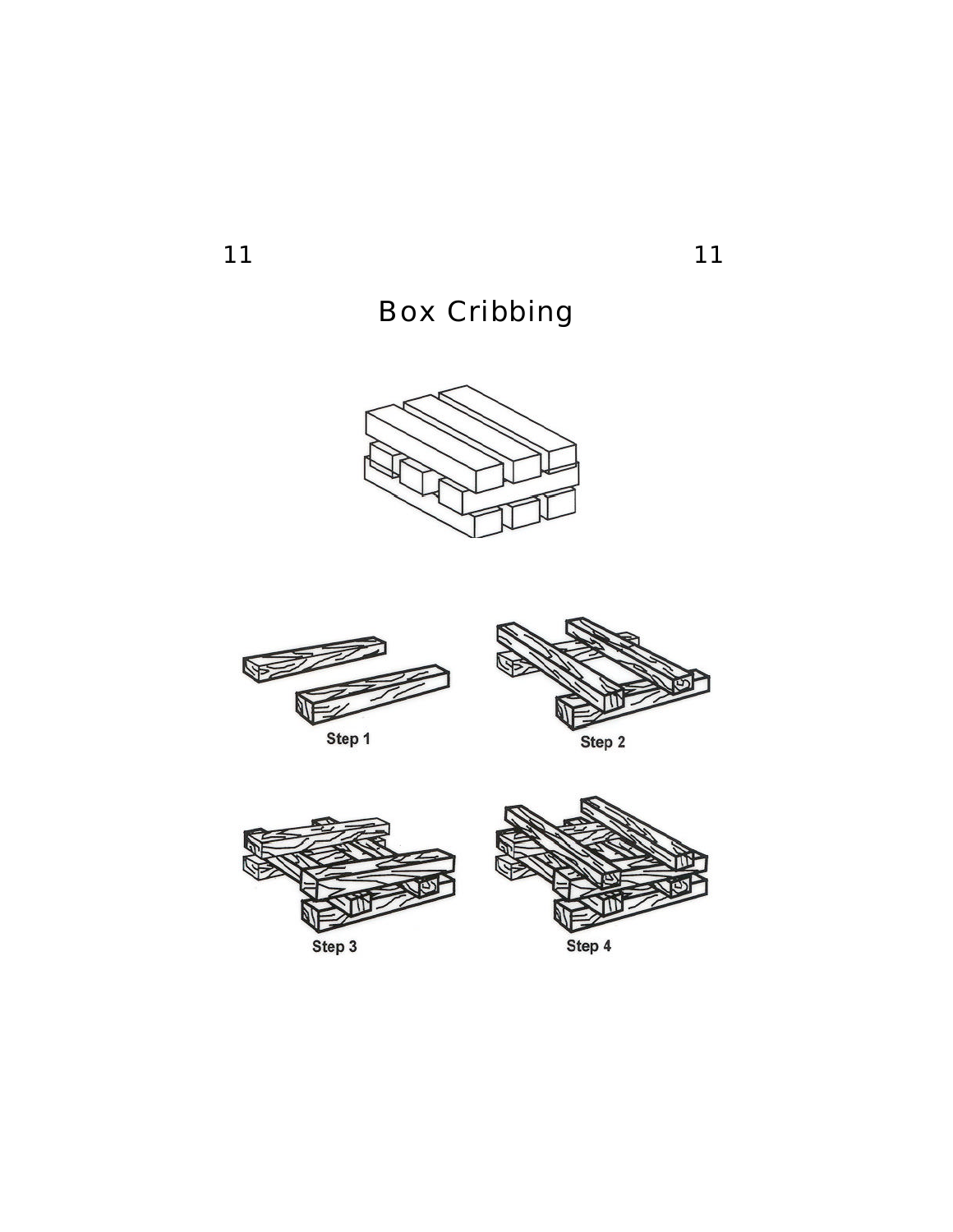11 11

# Box Cribbing